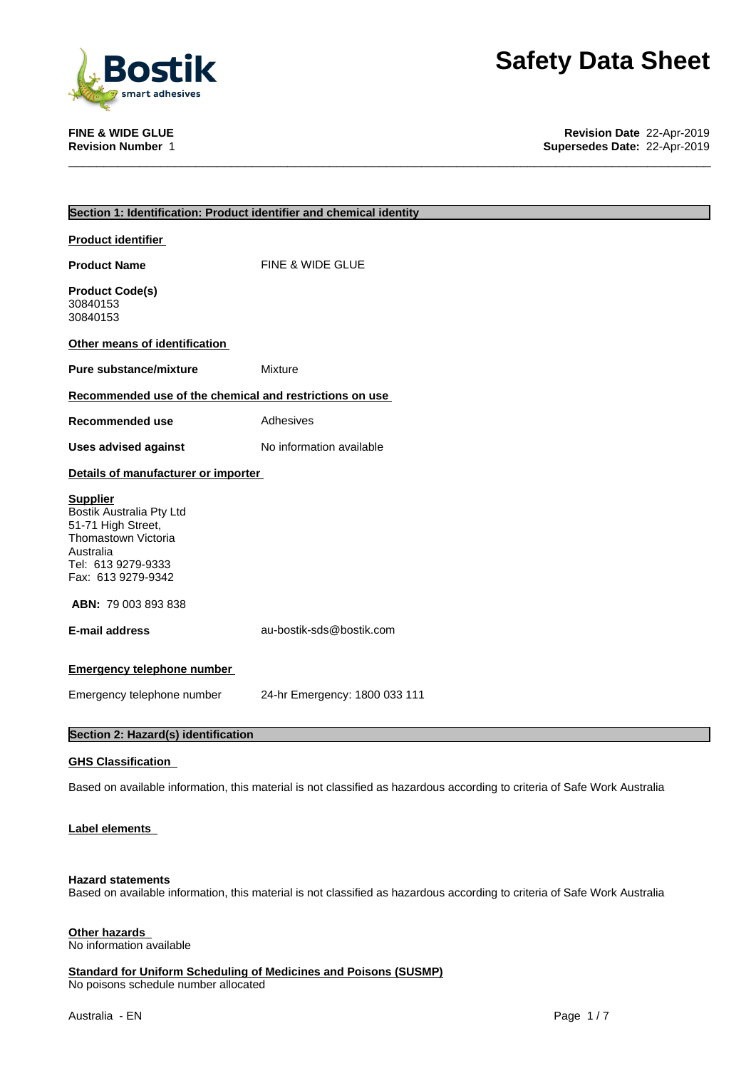

**FINE & WIDE GLUE Revision Date** 22-Apr-2019 **Supersedes Date: 22-Apr-2019** 

| Section 1: Identification: Product identifier and chemical identity                                                                               |
|---------------------------------------------------------------------------------------------------------------------------------------------------|
|                                                                                                                                                   |
| <b>Product identifier</b>                                                                                                                         |
| <b>Product Name</b><br>FINE & WIDE GLUE                                                                                                           |
| <b>Product Code(s)</b><br>30840153<br>30840153                                                                                                    |
| Other means of identification                                                                                                                     |
| <b>Pure substance/mixture</b><br>Mixture                                                                                                          |
| Recommended use of the chemical and restrictions on use                                                                                           |
| Recommended use<br>Adhesives                                                                                                                      |
| <b>Uses advised against</b><br>No information available                                                                                           |
| Details of manufacturer or importer                                                                                                               |
| <b>Supplier</b><br>Bostik Australia Pty Ltd<br>51-71 High Street,<br>Thomastown Victoria<br>Australia<br>Tel: 613 9279-9333<br>Fax: 613 9279-9342 |
| <b>ABN: 79 003 893 838</b>                                                                                                                        |
| <b>E-mail address</b><br>au-bostik-sds@bostik.com                                                                                                 |
| <b>Emergency telephone number</b>                                                                                                                 |
| Emergency telephone number<br>24-hr Emergency: 1800 033 111                                                                                       |
| Section 2: Hazard(s) identification                                                                                                               |
| <b>GHS Classification</b>                                                                                                                         |
| Based on available information, this material is not classified as hazardous according to criteria of Safe Work Australia                         |
| Label elements                                                                                                                                    |

#### **Hazard statements**

Based on available information, this material is not classified as hazardous according to criteria of Safe Work Australia

### **Other hazards**

No information available

**Standard for Uniform Scheduling of Medicines and Poisons (SUSMP)** No poisons schedule number allocated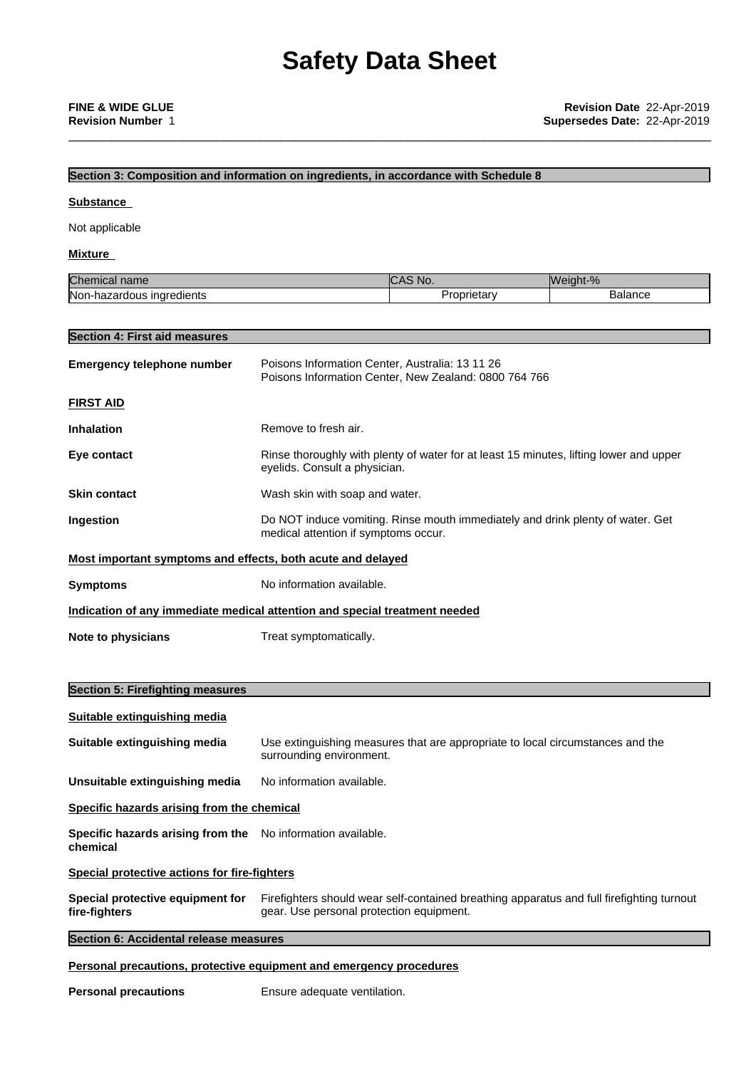\_\_\_\_\_\_\_\_\_\_\_\_\_\_\_\_\_\_\_\_\_\_\_\_\_\_\_\_\_\_\_\_\_\_\_\_\_\_\_\_\_\_\_\_\_\_\_\_\_\_\_\_\_\_\_\_\_\_\_\_\_\_\_\_\_\_\_\_\_\_\_\_\_\_\_\_\_\_\_\_\_\_\_\_\_\_\_\_\_\_\_

#### **Section 3: Composition and information on ingredients, in accordance with Schedule 8**

#### **Substance**

Not applicable

#### **Mixture**

| $\sim$                                                                | INO.                                    | ht-%                    |
|-----------------------------------------------------------------------|-----------------------------------------|-------------------------|
| Chemical name                                                         | <b>TAX</b>                              | MMDM'                   |
| Non-l<br><b>Indredients</b><br>$\epsilon$<br>$\sim$<br>raous<br>hazar | $1 - 1$<br>$     -$<br>…dar⊻ ⊹<br>ODFIF | $n^{n}$<br>.<br>DalaHCe |

# **Section 4: First aid measures**

| <b>Emergency telephone number</b>                           | Poisons Information Center, Australia: 13 11 26<br>Poisons Information Center, New Zealand: 0800 764 766                |
|-------------------------------------------------------------|-------------------------------------------------------------------------------------------------------------------------|
| <b>FIRST AID</b>                                            |                                                                                                                         |
| <b>Inhalation</b>                                           | Remove to fresh air.                                                                                                    |
| Eye contact                                                 | Rinse thoroughly with plenty of water for at least 15 minutes, lifting lower and upper<br>eyelids. Consult a physician. |
| <b>Skin contact</b>                                         | Wash skin with soap and water.                                                                                          |
| Ingestion                                                   | Do NOT induce vomiting. Rinse mouth immediately and drink plenty of water. Get<br>medical attention if symptoms occur.  |
| Most important symptoms and effects, both acute and delayed |                                                                                                                         |
| <b>Symptoms</b>                                             | No information available.                                                                                               |
|                                                             | Indication of any immediate medical attention and special treatment needed                                              |
| Note to physicians                                          | Treat symptomatically.                                                                                                  |

# **Section 5: Firefighting measures**

| Suitable extinguishing media                                            |                                                                                                                                       |
|-------------------------------------------------------------------------|---------------------------------------------------------------------------------------------------------------------------------------|
| Suitable extinguishing media                                            | Use extinguishing measures that are appropriate to local circumstances and the<br>surrounding environment.                            |
| Unsuitable extinguishing media                                          | No information available.                                                                                                             |
| Specific hazards arising from the chemical                              |                                                                                                                                       |
| Specific hazards arising from the No information available.<br>chemical |                                                                                                                                       |
| <b>Special protective actions for fire-fighters</b>                     |                                                                                                                                       |
| Special protective equipment for<br>fire-fighters                       | Firefighters should wear self-contained breathing apparatus and full firefighting turnout<br>gear. Use personal protection equipment. |
| Section 6: Accidental release measures                                  |                                                                                                                                       |

## **Personal precautions, protective equipment and emergency procedures**

**Personal precautions** Ensure adequate ventilation.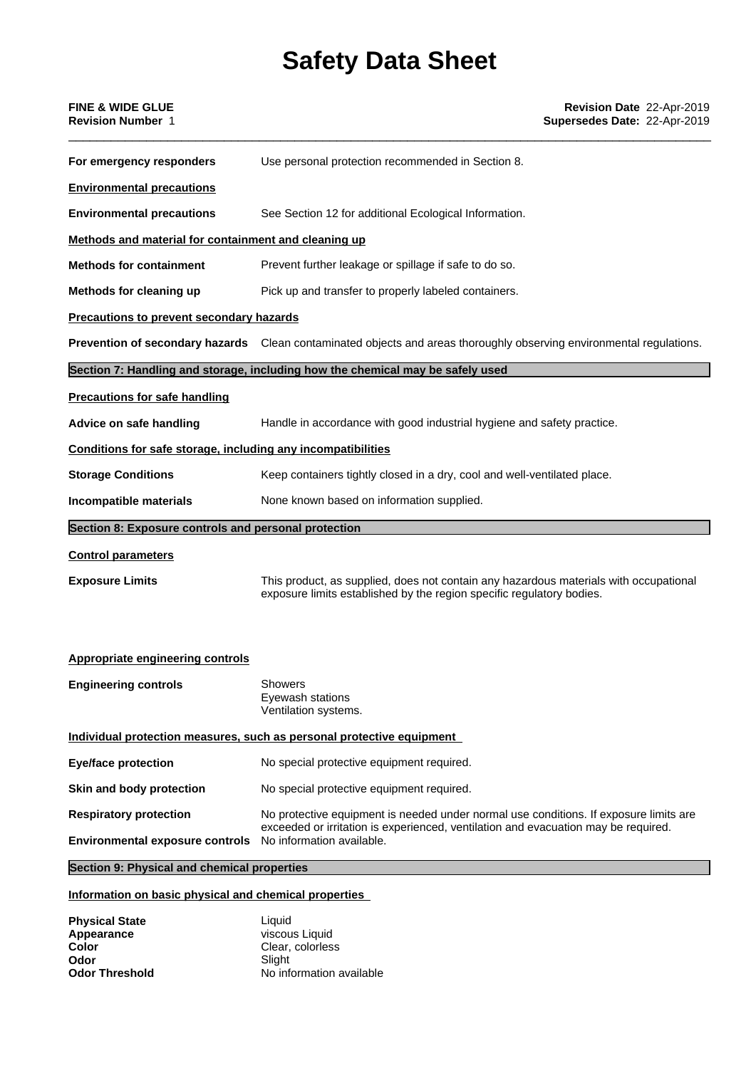| <b>FINE &amp; WIDE GLUE</b><br><b>Revision Number 1</b>      | Revision Date 22-Apr-2019<br>Supersedes Date: 22-Apr-2019                                                                                                                   |
|--------------------------------------------------------------|-----------------------------------------------------------------------------------------------------------------------------------------------------------------------------|
| For emergency responders                                     | Use personal protection recommended in Section 8.                                                                                                                           |
| <b>Environmental precautions</b>                             |                                                                                                                                                                             |
| <b>Environmental precautions</b>                             | See Section 12 for additional Ecological Information.                                                                                                                       |
| Methods and material for containment and cleaning up         |                                                                                                                                                                             |
| <b>Methods for containment</b>                               | Prevent further leakage or spillage if safe to do so.                                                                                                                       |
| Methods for cleaning up                                      | Pick up and transfer to properly labeled containers.                                                                                                                        |
| <b>Precautions to prevent secondary hazards</b>              |                                                                                                                                                                             |
|                                                              | Prevention of secondary hazards Clean contaminated objects and areas thoroughly observing environmental regulations.                                                        |
|                                                              | Section 7: Handling and storage, including how the chemical may be safely used                                                                                              |
| <b>Precautions for safe handling</b>                         |                                                                                                                                                                             |
| Advice on safe handling                                      | Handle in accordance with good industrial hygiene and safety practice.                                                                                                      |
| Conditions for safe storage, including any incompatibilities |                                                                                                                                                                             |
| <b>Storage Conditions</b>                                    | Keep containers tightly closed in a dry, cool and well-ventilated place.                                                                                                    |
| Incompatible materials                                       | None known based on information supplied.                                                                                                                                   |
| Section 8: Exposure controls and personal protection         |                                                                                                                                                                             |
| <b>Control parameters</b>                                    |                                                                                                                                                                             |
| <b>Exposure Limits</b>                                       | This product, as supplied, does not contain any hazardous materials with occupational<br>exposure limits established by the region specific regulatory bodies.              |
| <b>Appropriate engineering controls</b>                      |                                                                                                                                                                             |
| <b>Engineering controls</b>                                  | <b>Showers</b><br>Eyewash stations<br>Ventilation systems.                                                                                                                  |
|                                                              | Individual protection measures, such as personal protective equipment                                                                                                       |
| <b>Eye/face protection</b>                                   | No special protective equipment required.                                                                                                                                   |
| Skin and body protection                                     | No special protective equipment required.                                                                                                                                   |
| <b>Respiratory protection</b>                                | No protective equipment is needed under normal use conditions. If exposure limits are<br>exceeded or irritation is experienced, ventilation and evacuation may be required. |

**Environmental exposure controls** No information available.

# **Section 9: Physical and chemical properties**

# **Information on basic physical and chemical properties**

| <b>Physical State</b> | Liauid                   |
|-----------------------|--------------------------|
| Appearance            | viscous Liquid           |
| Color                 | Clear, colorless         |
| Odor                  | Slight                   |
| <b>Odor Threshold</b> | No information available |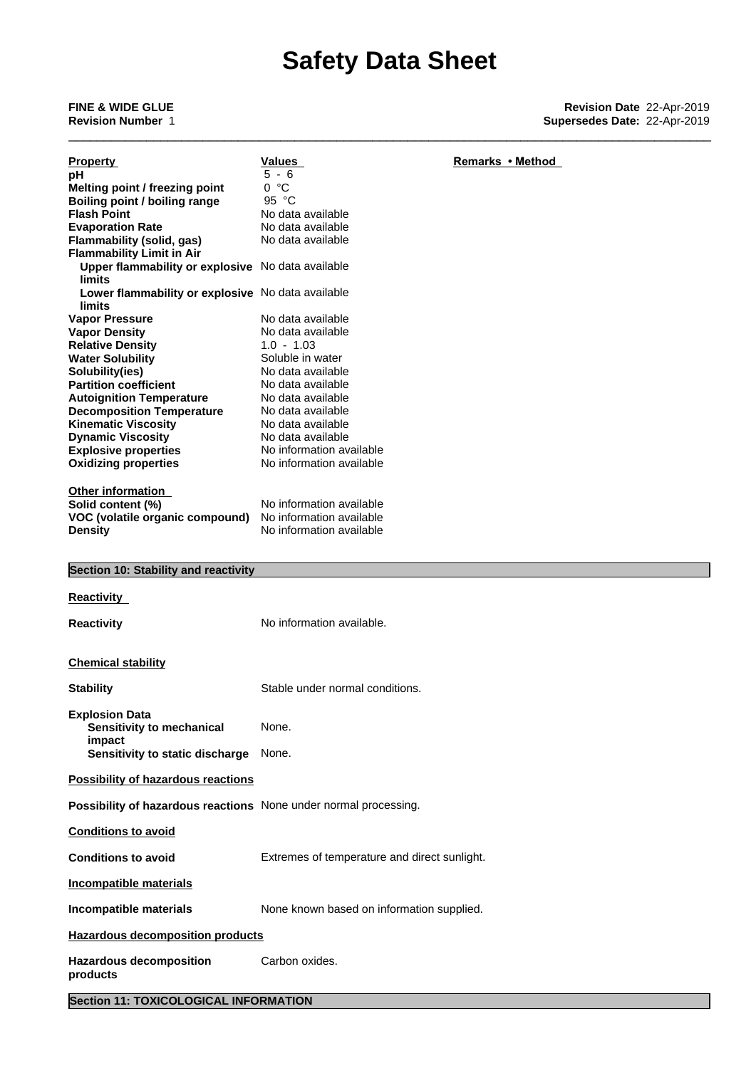\_\_\_\_\_\_\_\_\_\_\_\_\_\_\_\_\_\_\_\_\_\_\_\_\_\_\_\_\_\_\_\_\_\_\_\_\_\_\_\_\_\_\_\_\_\_\_\_\_\_\_\_\_\_\_\_\_\_\_\_\_\_\_\_\_\_\_\_\_\_\_\_\_\_\_\_\_\_\_\_\_\_\_\_\_\_\_\_\_\_\_

|                                                                    | Values                                       | Remarks • Method |
|--------------------------------------------------------------------|----------------------------------------------|------------------|
| <b>Property</b><br>рH                                              | $5 - 6$                                      |                  |
| Melting point / freezing point                                     | 0 °C                                         |                  |
| Boiling point / boiling range                                      | 95 °C                                        |                  |
| <b>Flash Point</b>                                                 | No data available                            |                  |
| <b>Evaporation Rate</b>                                            | No data available                            |                  |
| <b>Flammability (solid, gas)</b>                                   | No data available                            |                  |
| <b>Flammability Limit in Air</b>                                   |                                              |                  |
| Upper flammability or explosive No data available<br><b>limits</b> |                                              |                  |
| Lower flammability or explosive No data available<br>limits        |                                              |                  |
| <b>Vapor Pressure</b>                                              | No data available                            |                  |
| <b>Vapor Density</b>                                               | No data available                            |                  |
| <b>Relative Density</b>                                            | $1.0 - 1.03$                                 |                  |
| <b>Water Solubility</b>                                            | Soluble in water                             |                  |
| Solubility(ies)                                                    | No data available                            |                  |
| <b>Partition coefficient</b>                                       | No data available                            |                  |
| <b>Autoignition Temperature</b>                                    | No data available                            |                  |
| <b>Decomposition Temperature</b>                                   | No data available                            |                  |
| <b>Kinematic Viscosity</b>                                         | No data available                            |                  |
| <b>Dynamic Viscosity</b>                                           | No data available                            |                  |
| <b>Explosive properties</b>                                        | No information available                     |                  |
| <b>Oxidizing properties</b>                                        | No information available                     |                  |
|                                                                    |                                              |                  |
| <b>Other information</b><br>Solid content (%)                      | No information available                     |                  |
|                                                                    | No information available                     |                  |
| VOC (volatile organic compound)<br><b>Density</b>                  | No information available                     |                  |
|                                                                    |                                              |                  |
|                                                                    |                                              |                  |
| Section 10: Stability and reactivity                               |                                              |                  |
|                                                                    |                                              |                  |
| <b>Reactivity</b>                                                  |                                              |                  |
| <b>Reactivity</b>                                                  | No information available.                    |                  |
|                                                                    |                                              |                  |
|                                                                    |                                              |                  |
|                                                                    |                                              |                  |
| <b>Chemical stability</b>                                          |                                              |                  |
|                                                                    | Stable under normal conditions.              |                  |
| <b>Stability</b>                                                   |                                              |                  |
| <b>Explosion Data</b>                                              |                                              |                  |
| Sensitivity to mechanical                                          | None.                                        |                  |
| impact                                                             |                                              |                  |
| Sensitivity to static discharge                                    | None.                                        |                  |
|                                                                    |                                              |                  |
| <b>Possibility of hazardous reactions</b>                          |                                              |                  |
| Possibility of hazardous reactions None under normal processing.   |                                              |                  |
| <b>Conditions to avoid</b>                                         |                                              |                  |
| <b>Conditions to avoid</b>                                         | Extremes of temperature and direct sunlight. |                  |
| Incompatible materials                                             |                                              |                  |
| Incompatible materials                                             | None known based on information supplied.    |                  |
| <b>Hazardous decomposition products</b>                            |                                              |                  |
| <b>Hazardous decomposition</b><br>products                         | Carbon oxides.                               |                  |
|                                                                    |                                              |                  |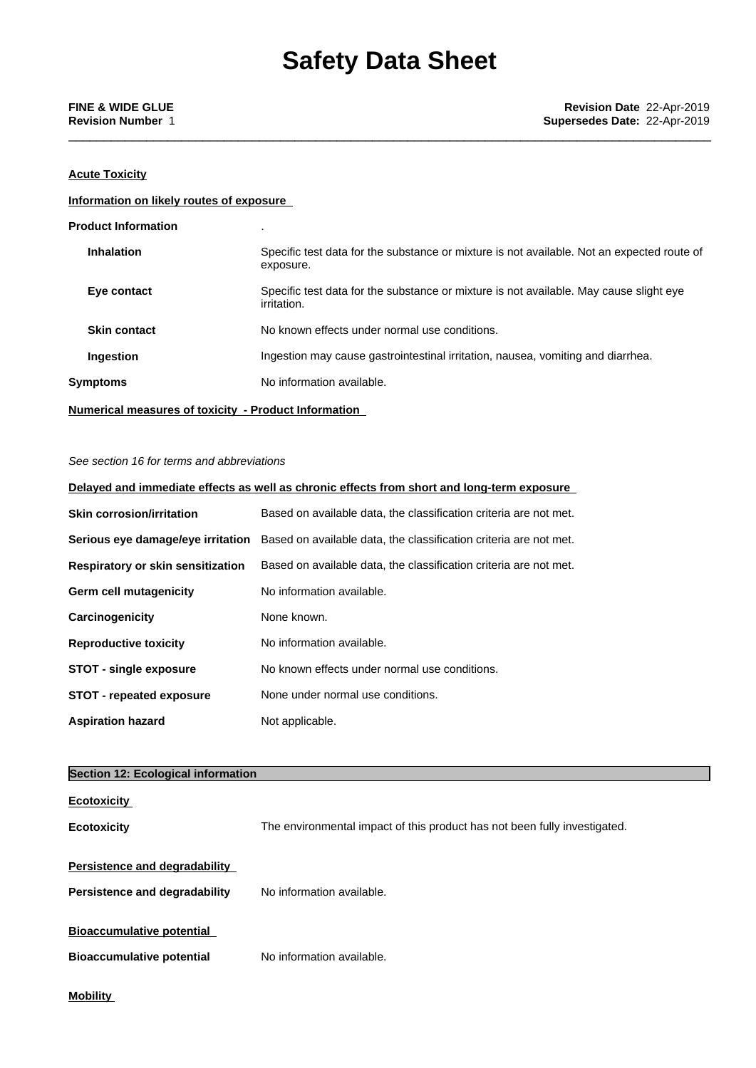\_\_\_\_\_\_\_\_\_\_\_\_\_\_\_\_\_\_\_\_\_\_\_\_\_\_\_\_\_\_\_\_\_\_\_\_\_\_\_\_\_\_\_\_\_\_\_\_\_\_\_\_\_\_\_\_\_\_\_\_\_\_\_\_\_\_\_\_\_\_\_\_\_\_\_\_\_\_\_\_\_\_\_\_\_\_\_\_\_\_\_

### **Acute Toxicity**

#### **Information on likely routes of exposure**

| <b>Product Information</b>                                  |                                                                                                         |
|-------------------------------------------------------------|---------------------------------------------------------------------------------------------------------|
| <b>Inhalation</b>                                           | Specific test data for the substance or mixture is not available. Not an expected route of<br>exposure. |
| Eye contact                                                 | Specific test data for the substance or mixture is not available. May cause slight eye<br>irritation.   |
| <b>Skin contact</b>                                         | No known effects under normal use conditions.                                                           |
| <b>Ingestion</b>                                            | Ingestion may cause gastrointestinal irritation, nausea, vomiting and diarrhea.                         |
| <b>Symptoms</b>                                             | No information available.                                                                               |
| <b>Numerical measures of toxicity - Product Information</b> |                                                                                                         |

#### *See section 16 for terms and abbreviations*

| Delayed and immediate effects as well as chronic effects from short and long-term exposure |                                                                                                     |  |
|--------------------------------------------------------------------------------------------|-----------------------------------------------------------------------------------------------------|--|
| <b>Skin corrosion/irritation</b>                                                           | Based on available data, the classification criteria are not met.                                   |  |
|                                                                                            | Serious eye damage/eye irritation Based on available data, the classification criteria are not met. |  |
| Respiratory or skin sensitization                                                          | Based on available data, the classification criteria are not met.                                   |  |
| Germ cell mutagenicity                                                                     | No information available.                                                                           |  |
| Carcinogenicity                                                                            | None known.                                                                                         |  |
| <b>Reproductive toxicity</b>                                                               | No information available.                                                                           |  |
| <b>STOT - single exposure</b>                                                              | No known effects under normal use conditions.                                                       |  |
| <b>STOT - repeated exposure</b>                                                            | None under normal use conditions.                                                                   |  |
| <b>Aspiration hazard</b>                                                                   | Not applicable.                                                                                     |  |

### **Section 12: Ecological information**

| <b>Ecotoxicity</b>               |                                                                           |
|----------------------------------|---------------------------------------------------------------------------|
| <b>Ecotoxicity</b>               | The environmental impact of this product has not been fully investigated. |
| Persistence and degradability    |                                                                           |
|                                  |                                                                           |
| Persistence and degradability    | No information available.                                                 |
|                                  |                                                                           |
| <b>Bioaccumulative potential</b> |                                                                           |
| <b>Bioaccumulative potential</b> | No information available.                                                 |
|                                  |                                                                           |
| <b>Mobility</b>                  |                                                                           |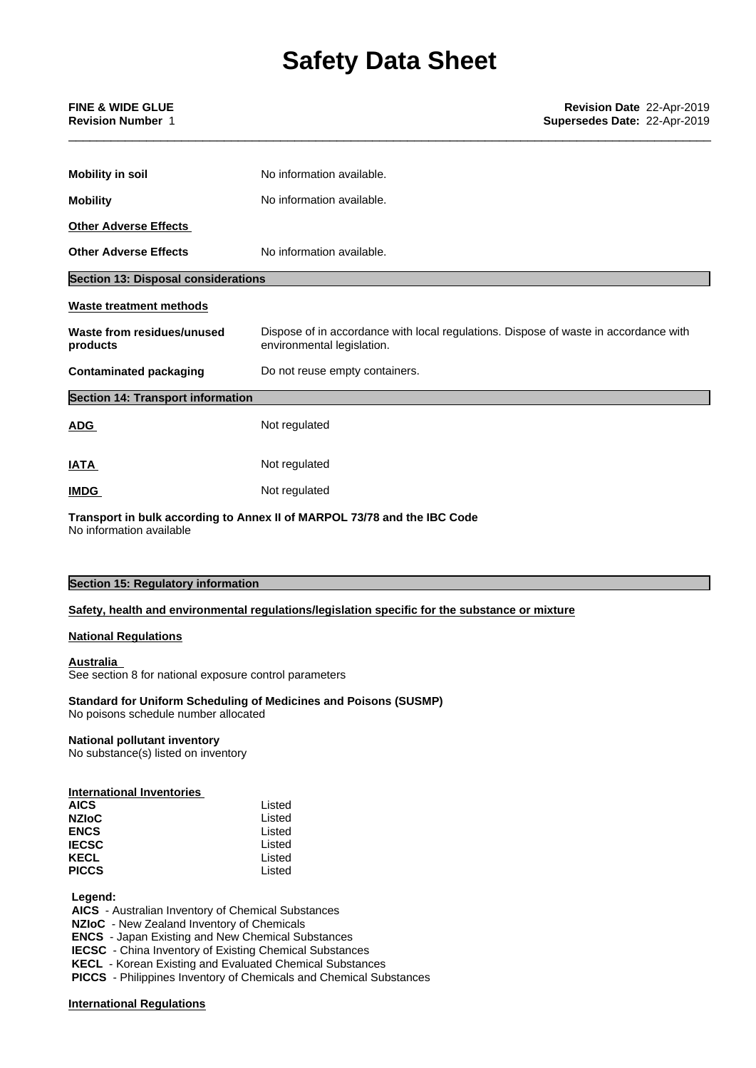\_\_\_\_\_\_\_\_\_\_\_\_\_\_\_\_\_\_\_\_\_\_\_\_\_\_\_\_\_\_\_\_\_\_\_\_\_\_\_\_\_\_\_\_\_\_\_\_\_\_\_\_\_\_\_\_\_\_\_\_\_\_\_\_\_\_\_\_\_\_\_\_\_\_\_\_\_\_\_\_\_\_\_\_\_\_\_\_\_\_\_

| <b>FINE &amp; WIDE GLUE</b> | Revision Date 22-Apr-2019    |  |
|-----------------------------|------------------------------|--|
| <b>Revision Number 1</b>    | Supersedes Date: 22-Apr-2019 |  |

| <b>Mobility in soil</b>                    | No information available.                                                                                          |
|--------------------------------------------|--------------------------------------------------------------------------------------------------------------------|
| <b>Mobility</b>                            | No information available.                                                                                          |
| <b>Other Adverse Effects</b>               |                                                                                                                    |
| <b>Other Adverse Effects</b>               | No information available.                                                                                          |
| <b>Section 13: Disposal considerations</b> |                                                                                                                    |
| <b>Waste treatment methods</b>             |                                                                                                                    |
| Waste from residues/unused<br>products     | Dispose of in accordance with local regulations. Dispose of waste in accordance with<br>environmental legislation. |
| <b>Contaminated packaging</b>              | Do not reuse empty containers.                                                                                     |
| <b>Section 14: Transport information</b>   |                                                                                                                    |
| <b>ADG</b>                                 | Not regulated                                                                                                      |
| <b>IATA</b>                                | Not regulated                                                                                                      |
| <b>IMDG</b>                                | Not regulated                                                                                                      |
|                                            |                                                                                                                    |

**Transport in bulk according to Annex II ofMARPOL 73/78 and the IBC Code** No information available

### **Section 15: Regulatory information**

#### **Safety, health and environmental regulations/legislation specific for the substance or mixture**

#### **National Regulations**

#### **Australia**

See section 8 for national exposure control parameters

# **Standard for Uniform Scheduling of Medicines and Poisons (SUSMP)**

No poisons schedule number allocated

### **National pollutant inventory**

No substance(s) listed on inventory

### **International Inventories**

| Listed |
|--------|
| Listed |
| Listed |
| Listed |
| Listed |
| Listed |
|        |

 **Legend:**

 **AICS** - Australian Inventory of Chemical Substances

 **NZIoC** - New Zealand Inventory of Chemicals

 **ENCS** - Japan Existing and New Chemical Substances

 **IECSC** - China Inventory of Existing Chemical Substances

 **KECL** - Korean Existing and Evaluated Chemical Substances

 **PICCS** - Philippines Inventory of Chemicals and Chemical Substances

#### **International Regulations**